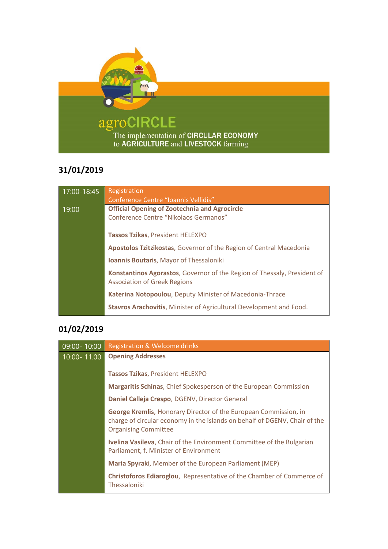

## **31/01/2019**

| 17:00-18:45 | Registration<br>Conference Centre "Ioannis Vellidis"                                                            |
|-------------|-----------------------------------------------------------------------------------------------------------------|
| 19:00       | <b>Official Opening of Zootechnia and Agrocircle</b><br>Conference Centre "Nikolaos Germanos"                   |
|             | Tassos Tzikas, President HELEXPO                                                                                |
|             | <b>Apostolos Tzitzikostas, Governor of the Region of Central Macedonia</b>                                      |
|             | <b>Ioannis Boutaris, Mayor of Thessaloniki</b>                                                                  |
|             | Konstantinos Agorastos, Governor of the Region of Thessaly, President of<br><b>Association of Greek Regions</b> |
|             | Katerina Notopoulou, Deputy Minister of Macedonia-Thrace                                                        |
|             | <b>Stavros Arachovitis, Minister of Agricultural Development and Food.</b>                                      |

## **01/02/2019**

| 09:00-10:00 | <b>Registration &amp; Welcome drinks</b>                                                                                                                                      |
|-------------|-------------------------------------------------------------------------------------------------------------------------------------------------------------------------------|
| 10:00-11.00 | <b>Opening Addresses</b>                                                                                                                                                      |
|             | <b>Tassos Tzikas, President HELEXPO</b>                                                                                                                                       |
|             | Margaritis Schinas, Chief Spokesperson of the European Commission                                                                                                             |
|             | Daniel Calleja Crespo, DGENV, Director General                                                                                                                                |
|             | George Kremlis, Honorary Director of the European Commission, in<br>charge of circular economy in the islands on behalf of DGENV, Chair of the<br><b>Organising Committee</b> |
|             | Ivelina Vasileva, Chair of the Environment Committee of the Bulgarian<br>Parliament, f. Minister of Environment                                                               |
|             | Maria Spyraki, Member of the European Parliament (MEP)                                                                                                                        |
|             | Christoforos Ediaroglou, Representative of the Chamber of Commerce of<br>Thessaloniki                                                                                         |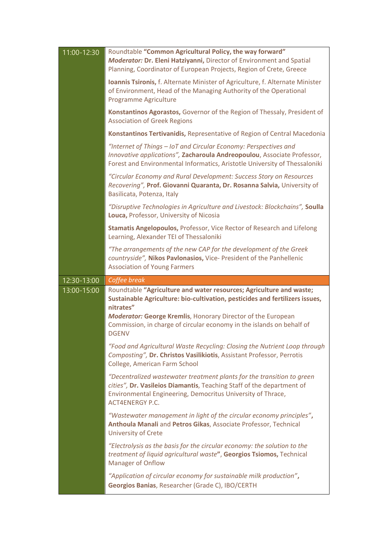| 11:00-12:30 | Roundtable "Common Agricultural Policy, the way forward"<br>Moderator: Dr. Eleni Hatziyanni, Director of Environment and Spatial<br>Planning, Coordinator of European Projects, Region of Crete, Greece                                                                                                                          |
|-------------|----------------------------------------------------------------------------------------------------------------------------------------------------------------------------------------------------------------------------------------------------------------------------------------------------------------------------------|
|             | Ioannis Tsironis, f. Alternate Minister of Agriculture, f. Alternate Minister<br>of Environment, Head of the Managing Authority of the Operational<br>Programme Agriculture                                                                                                                                                      |
|             | Konstantinos Agorastos, Governor of the Region of Thessaly, President of<br><b>Association of Greek Regions</b>                                                                                                                                                                                                                  |
|             | Konstantinos Tertivanidis, Representative of Region of Central Macedonia                                                                                                                                                                                                                                                         |
|             | "Internet of Things - IoT and Circular Economy: Perspectives and<br>Innovative applications", Zacharoula Andreopoulou, Associate Professor,<br>Forest and Environmental Informatics, Aristotle University of Thessaloniki                                                                                                        |
|             | "Circular Economy and Rural Development: Success Story on Resources<br>Recovering", Prof. Giovanni Quaranta, Dr. Rosanna Salvia, University of<br>Basilicata, Potenza, Italy                                                                                                                                                     |
|             | "Disruptive Technologies in Agriculture and Livestock: Blockchains", Soulla<br>Louca, Professor, University of Nicosia                                                                                                                                                                                                           |
|             | Stamatis Angelopoulos, Professor, Vice Rector of Research and Lifelong<br>Learning, Alexander TEI of Thessaloniki                                                                                                                                                                                                                |
|             | "The arrangements of the new CAP for the development of the Greek<br>countryside", Nikos Pavlonasios, Vice- President of the Panhellenic<br><b>Association of Young Farmers</b>                                                                                                                                                  |
|             |                                                                                                                                                                                                                                                                                                                                  |
| 12:30-13:00 | Coffee break                                                                                                                                                                                                                                                                                                                     |
| 13:00-15:00 | Roundtable "Agriculture and water resources; Agriculture and waste;<br>Sustainable Agriculture: bio-cultivation, pesticides and fertilizers issues,<br>nitrates"<br><b>Moderator: George Kremlis, Honorary Director of the European</b><br>Commission, in charge of circular economy in the islands on behalf of<br><b>DGENV</b> |
|             | "Food and Agricultural Waste Recycling: Closing the Nutrient Loop through<br>Composting", Dr. Christos Vasilikiotis, Assistant Professor, Perrotis<br>College, American Farm School                                                                                                                                              |
|             | "Decentralized wastewater treatment plants for the transition to green<br>cities", Dr. Vasileios Diamantis, Teaching Staff of the department of<br>Environmental Engineering, Democritus University of Thrace,<br><b>ACT4ENERGY P.C.</b>                                                                                         |
|             | "Wastewater management in light of the circular economy principles",<br>Anthoula Manali and Petros Gikas, Associate Professor, Technical<br><b>University of Crete</b>                                                                                                                                                           |
|             | "Electrolysis as the basis for the circular economy: the solution to the<br>treatment of liquid agricultural waste", Georgios Tsiomos, Technical<br><b>Manager of Onflow</b>                                                                                                                                                     |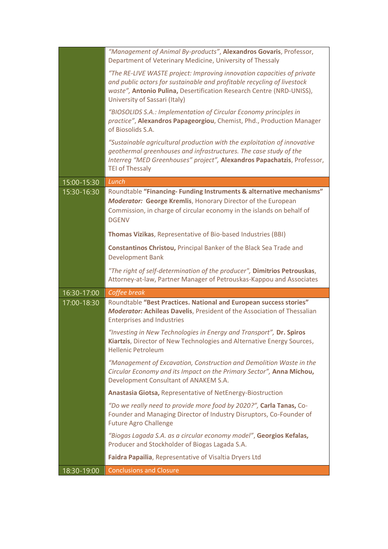|                          | "Management of Animal By-products", Alexandros Govaris, Professor,<br>Department of Veterinary Medicine, University of Thessaly                                                                                                                            |
|--------------------------|------------------------------------------------------------------------------------------------------------------------------------------------------------------------------------------------------------------------------------------------------------|
|                          | "The RE-LIVE WASTE project: Improving innovation capacities of private<br>and public actors for sustainable and profitable recycling of livestock<br>waste", Antonio Pulina, Desertification Research Centre (NRD-UNISS),<br>University of Sassari (Italy) |
|                          | "BIOSOLIDS S.A.: Implementation of Circular Economy principles in<br>practice", Alexandros Papageorgiou, Chemist, Phd., Production Manager<br>of Biosolids S.A.                                                                                            |
|                          | "Sustainable agricultural production with the exploitation of innovative<br>geothermal greenhouses and infrastructures. The case study of the<br>Interreg "MED Greenhouses" project", Alexandros Papachatzis, Professor,<br><b>TEI of Thessaly</b>         |
| 15:00-15:30              | Lunch                                                                                                                                                                                                                                                      |
| 15:30-16:30              | Roundtable "Financing-Funding Instruments & alternative mechanisms"<br><b>Moderator: George Kremlis, Honorary Director of the European</b><br>Commission, in charge of circular economy in the islands on behalf of<br><b>DGENV</b>                        |
|                          | Thomas Vizikas, Representative of Bio-based Industries (BBI)                                                                                                                                                                                               |
|                          | Constantinos Christou, Principal Banker of the Black Sea Trade and<br><b>Development Bank</b>                                                                                                                                                              |
|                          | "The right of self-determination of the producer", Dimitrios Petrouskas,<br>Attorney-at-law, Partner Manager of Petrouskas-Kappou and Associates                                                                                                           |
| 16:30-17:00              | Coffee break                                                                                                                                                                                                                                               |
| 17:00-18:30              | Roundtable "Best Practices. National and European success stories"<br><b>Moderator: Achileas Davelis, President of the Association of Thessalian</b><br><b>Enterprises and Industries</b>                                                                  |
|                          | "Investing in New Technologies in Energy and Transport", Dr. Spiros<br>Kiartzis, Director of New Technologies and Alternative Energy Sources,<br><b>Hellenic Petroleum</b>                                                                                 |
|                          | "Management of Excavation, Construction and Demolition Waste in the<br>Circular Economy and its Impact on the Primary Sector", Anna Michou,<br>Development Consultant of ANAKEM S.A.                                                                       |
|                          | Anastasia Giotsa, Representative of NetEnergy-Biostruction                                                                                                                                                                                                 |
|                          | "Do we really need to provide more food by 2020?", Carla Tanas, Co-<br>Founder and Managing Director of Industry Disruptors, Co-Founder of<br><b>Future Agro Challenge</b>                                                                                 |
|                          | "Biogas Lagada S.A. as a circular economy model", Georgios Kefalas,<br>Producer and Stockholder of Biogas Lagada S.A.                                                                                                                                      |
|                          | Faidra Papailia, Representative of Visaltia Dryers Ltd                                                                                                                                                                                                     |
| $\overline{18:}30-19:00$ | <b>Conclusions and Closure</b>                                                                                                                                                                                                                             |